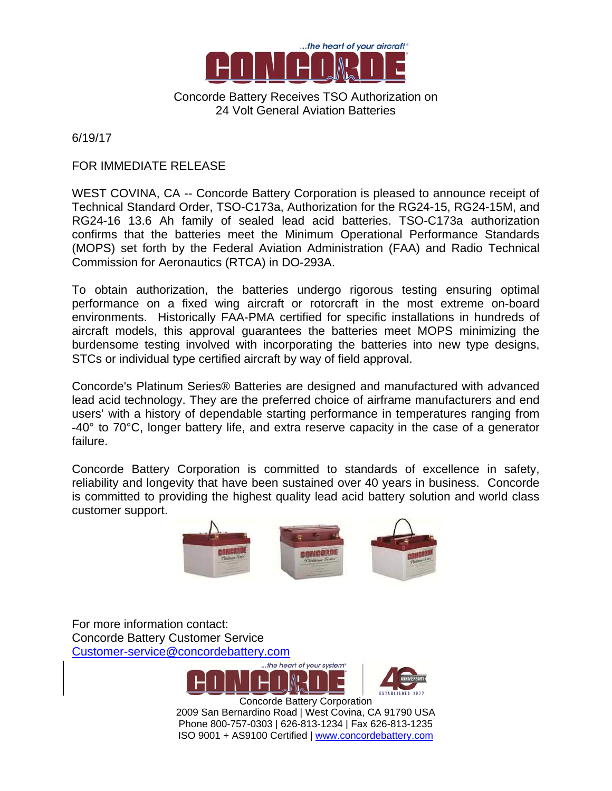

Concorde Battery Receives TSO Authorization on 24 Volt General Aviation Batteries

6/19/17

## FOR IMMEDIATE RELEASE

WEST COVINA, CA -- Concorde Battery Corporation is pleased to announce receipt of Technical Standard Order, TSO-C173a, Authorization for the RG24-15, RG24-15M, and RG24-16 13.6 Ah family of sealed lead acid batteries. TSO-C173a authorization confirms that the batteries meet the Minimum Operational Performance Standards (MOPS) set forth by the Federal Aviation Administration (FAA) and Radio Technical Commission for Aeronautics (RTCA) in DO-293A.

To obtain authorization, the batteries undergo rigorous testing ensuring optimal performance on a fixed wing aircraft or rotorcraft in the most extreme on-board environments. Historically FAA-PMA certified for specific installations in hundreds of aircraft models, this approval guarantees the batteries meet MOPS minimizing the burdensome testing involved with incorporating the batteries into new type designs, STCs or individual type certified aircraft by way of field approval.

Concorde's Platinum Series® Batteries are designed and manufactured with advanced lead acid technology. They are the preferred choice of airframe manufacturers and end users' with a history of dependable starting performance in temperatures ranging from -40° to 70°C, longer battery life, and extra reserve capacity in the case of a generator failure.

Concorde Battery Corporation is committed to standards of excellence in safety, reliability and longevity that have been sustained over 40 years in business. Concorde is committed to providing the highest quality lead acid battery solution and world class customer support.



For more information contact: Concorde Battery Customer Service Customer-service@concordebattery.com



 Concorde Battery Corporation 2009 San Bernardino Road | West Covina, CA 91790 USA Phone 800-757-0303 | 626-813-1234 | Fax 626-813-1235 ISO 9001 + AS9100 Certified | www.concordebattery.com